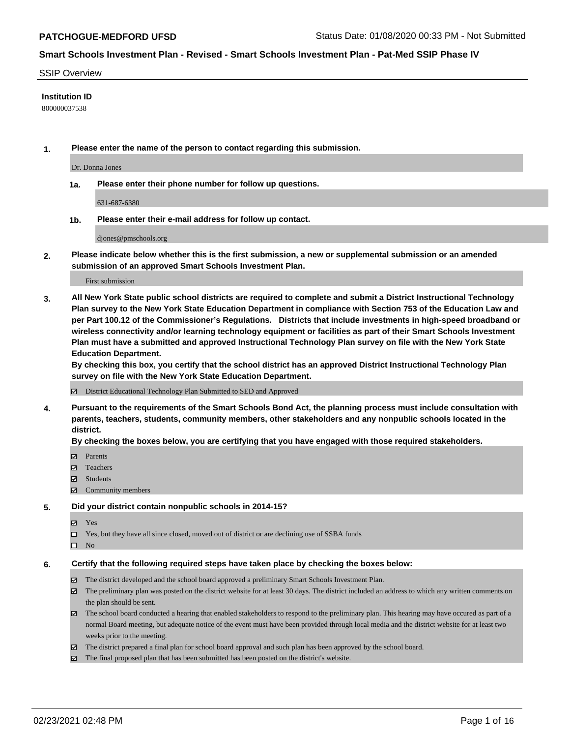### SSIP Overview

### **Institution ID**

800000037538

**1. Please enter the name of the person to contact regarding this submission.**

Dr. Donna Jones

**1a. Please enter their phone number for follow up questions.**

631-687-6380

**1b. Please enter their e-mail address for follow up contact.**

djones@pmschools.org

**2. Please indicate below whether this is the first submission, a new or supplemental submission or an amended submission of an approved Smart Schools Investment Plan.**

#### First submission

**3. All New York State public school districts are required to complete and submit a District Instructional Technology Plan survey to the New York State Education Department in compliance with Section 753 of the Education Law and per Part 100.12 of the Commissioner's Regulations. Districts that include investments in high-speed broadband or wireless connectivity and/or learning technology equipment or facilities as part of their Smart Schools Investment Plan must have a submitted and approved Instructional Technology Plan survey on file with the New York State Education Department.** 

**By checking this box, you certify that the school district has an approved District Instructional Technology Plan survey on file with the New York State Education Department.**

District Educational Technology Plan Submitted to SED and Approved

**4. Pursuant to the requirements of the Smart Schools Bond Act, the planning process must include consultation with parents, teachers, students, community members, other stakeholders and any nonpublic schools located in the district.** 

### **By checking the boxes below, you are certifying that you have engaged with those required stakeholders.**

- **Ø** Parents
- Teachers
- Students
- $\Xi$  Community members

### **5. Did your district contain nonpublic schools in 2014-15?**

- Yes
- □ Yes, but they have all since closed, moved out of district or are declining use of SSBA funds
- $\hfill \square$  No

## **6. Certify that the following required steps have taken place by checking the boxes below:**

- The district developed and the school board approved a preliminary Smart Schools Investment Plan.
- The preliminary plan was posted on the district website for at least 30 days. The district included an address to which any written comments on the plan should be sent.
- The school board conducted a hearing that enabled stakeholders to respond to the preliminary plan. This hearing may have occured as part of a normal Board meeting, but adequate notice of the event must have been provided through local media and the district website for at least two weeks prior to the meeting.
- The district prepared a final plan for school board approval and such plan has been approved by the school board.
- $\boxtimes$  The final proposed plan that has been submitted has been posted on the district's website.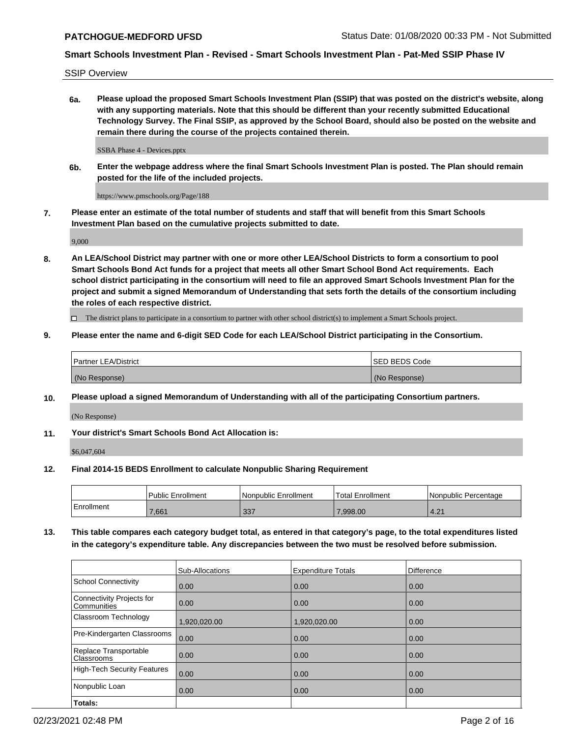SSIP Overview

**6a. Please upload the proposed Smart Schools Investment Plan (SSIP) that was posted on the district's website, along with any supporting materials. Note that this should be different than your recently submitted Educational Technology Survey. The Final SSIP, as approved by the School Board, should also be posted on the website and remain there during the course of the projects contained therein.**

SSBA Phase 4 - Devices.pptx

**6b. Enter the webpage address where the final Smart Schools Investment Plan is posted. The Plan should remain posted for the life of the included projects.**

https://www.pmschools.org/Page/188

**7. Please enter an estimate of the total number of students and staff that will benefit from this Smart Schools Investment Plan based on the cumulative projects submitted to date.**

9,000

**8. An LEA/School District may partner with one or more other LEA/School Districts to form a consortium to pool Smart Schools Bond Act funds for a project that meets all other Smart School Bond Act requirements. Each school district participating in the consortium will need to file an approved Smart Schools Investment Plan for the project and submit a signed Memorandum of Understanding that sets forth the details of the consortium including the roles of each respective district.**

 $\Box$  The district plans to participate in a consortium to partner with other school district(s) to implement a Smart Schools project.

### **9. Please enter the name and 6-digit SED Code for each LEA/School District participating in the Consortium.**

| Partner LEA/District | <b>ISED BEDS Code</b> |
|----------------------|-----------------------|
| (No Response)        | (No Response)         |

## **10. Please upload a signed Memorandum of Understanding with all of the participating Consortium partners.**

(No Response)

## **11. Your district's Smart Schools Bond Act Allocation is:**

\$6,047,604

#### **12. Final 2014-15 BEDS Enrollment to calculate Nonpublic Sharing Requirement**

|            | Public Enrollment | l Nonpublic Enrollment | <b>Total Enrollment</b> | Nonpublic Percentage |
|------------|-------------------|------------------------|-------------------------|----------------------|
| Enrollment | ,661              | .337                   | 7,998.00                | 4.21                 |

**13. This table compares each category budget total, as entered in that category's page, to the total expenditures listed in the category's expenditure table. Any discrepancies between the two must be resolved before submission.**

|                                          | Sub-Allocations | <b>Expenditure Totals</b> | Difference |
|------------------------------------------|-----------------|---------------------------|------------|
| <b>School Connectivity</b>               | 0.00            | 0.00                      | 0.00       |
| Connectivity Projects for<br>Communities | 0.00            | 0.00                      | 0.00       |
| Classroom Technology                     | 1,920,020.00    | 1,920,020.00              | 0.00       |
| Pre-Kindergarten Classrooms              | 0.00            | 0.00                      | 0.00       |
| Replace Transportable<br>Classrooms      | 0.00            | 0.00                      | 0.00       |
| <b>High-Tech Security Features</b>       | 0.00            | 0.00                      | 0.00       |
| Nonpublic Loan                           | 0.00            | 0.00                      | 0.00       |
| Totals:                                  |                 |                           |            |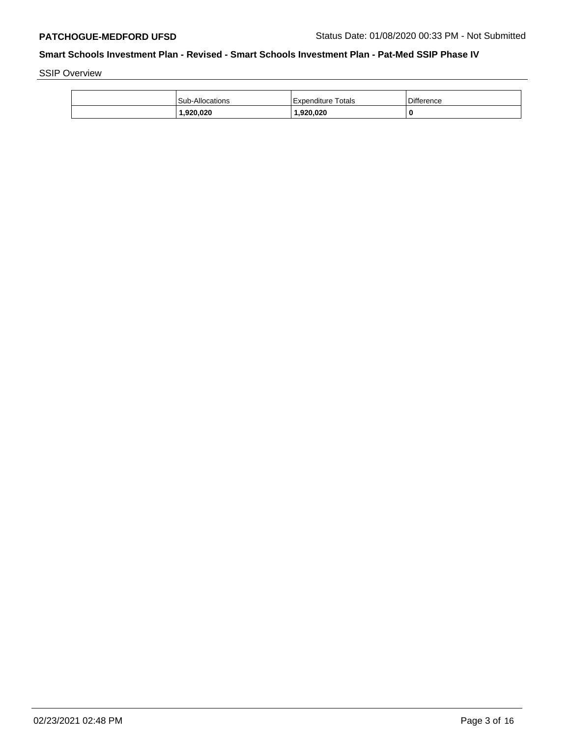SSIP Overview

| <b>Sub-Allocations</b> | Expenditure Totals | Difference |
|------------------------|--------------------|------------|
| 920,020,١              | 1,920,020          | 0          |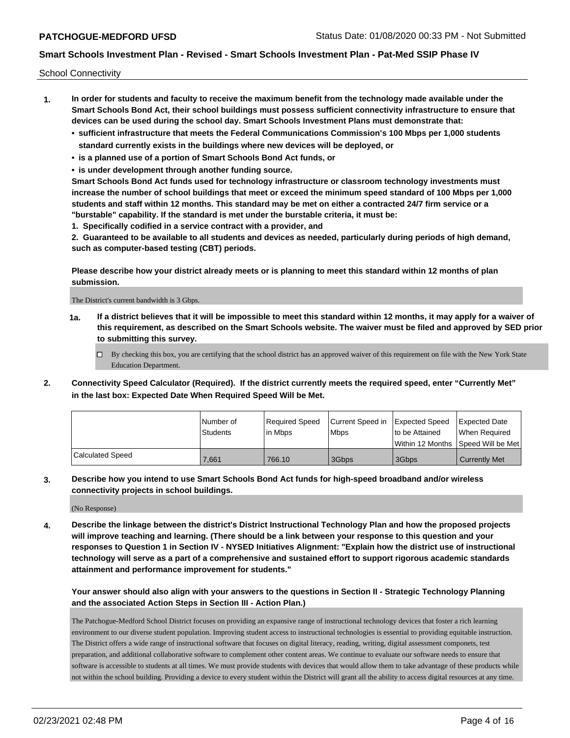School Connectivity

- **1. In order for students and faculty to receive the maximum benefit from the technology made available under the Smart Schools Bond Act, their school buildings must possess sufficient connectivity infrastructure to ensure that devices can be used during the school day. Smart Schools Investment Plans must demonstrate that:**
	- **• sufficient infrastructure that meets the Federal Communications Commission's 100 Mbps per 1,000 students standard currently exists in the buildings where new devices will be deployed, or**
	- **• is a planned use of a portion of Smart Schools Bond Act funds, or**
	- **• is under development through another funding source.**

**Smart Schools Bond Act funds used for technology infrastructure or classroom technology investments must increase the number of school buildings that meet or exceed the minimum speed standard of 100 Mbps per 1,000 students and staff within 12 months. This standard may be met on either a contracted 24/7 firm service or a "burstable" capability. If the standard is met under the burstable criteria, it must be:**

**1. Specifically codified in a service contract with a provider, and**

**2. Guaranteed to be available to all students and devices as needed, particularly during periods of high demand, such as computer-based testing (CBT) periods.**

**Please describe how your district already meets or is planning to meet this standard within 12 months of plan submission.**

The District's current bandwidth is 3 Gbps.

**1a. If a district believes that it will be impossible to meet this standard within 12 months, it may apply for a waiver of this requirement, as described on the Smart Schools website. The waiver must be filed and approved by SED prior to submitting this survey.**

 $\Box$  By checking this box, you are certifying that the school district has an approved waiver of this requirement on file with the New York State Education Department.

**2. Connectivity Speed Calculator (Required). If the district currently meets the required speed, enter "Currently Met" in the last box: Expected Date When Required Speed Will be Met.**

|                  | l Number of | Required Speed | Current Speed in | Expected Speed | <b>Expected Date</b>                |
|------------------|-------------|----------------|------------------|----------------|-------------------------------------|
|                  | Students    | l in Mbps      | <b>Mbps</b>      | to be Attained | When Required                       |
|                  |             |                |                  |                | Within 12 Months ISpeed Will be Met |
| Calculated Speed | 7.661       | 766.10         | 3Gbps            | 3Gbps          | <b>Currently Met</b>                |

**3. Describe how you intend to use Smart Schools Bond Act funds for high-speed broadband and/or wireless connectivity projects in school buildings.**

(No Response)

**4. Describe the linkage between the district's District Instructional Technology Plan and how the proposed projects will improve teaching and learning. (There should be a link between your response to this question and your responses to Question 1 in Section IV - NYSED Initiatives Alignment: "Explain how the district use of instructional technology will serve as a part of a comprehensive and sustained effort to support rigorous academic standards attainment and performance improvement for students."** 

**Your answer should also align with your answers to the questions in Section II - Strategic Technology Planning and the associated Action Steps in Section III - Action Plan.)**

The Patchogue-Medford School District focuses on providing an expansive range of instructional technology devices that foster a rich learning environment to our diverse student population. Improving student access to instructional technologies is essential to providing equitable instruction. The District offers a wide range of instructional software that focuses on digital literacy, reading, writing, digital assessment componets, test preparation, and additional collaborative software to complement other content areas. We continue to evaluate our software needs to ensure that software is accessible to students at all times. We must provide students with devices that would allow them to take advantage of these products while not within the school building. Providing a device to every student within the District will grant all the ability to access digital resources at any time.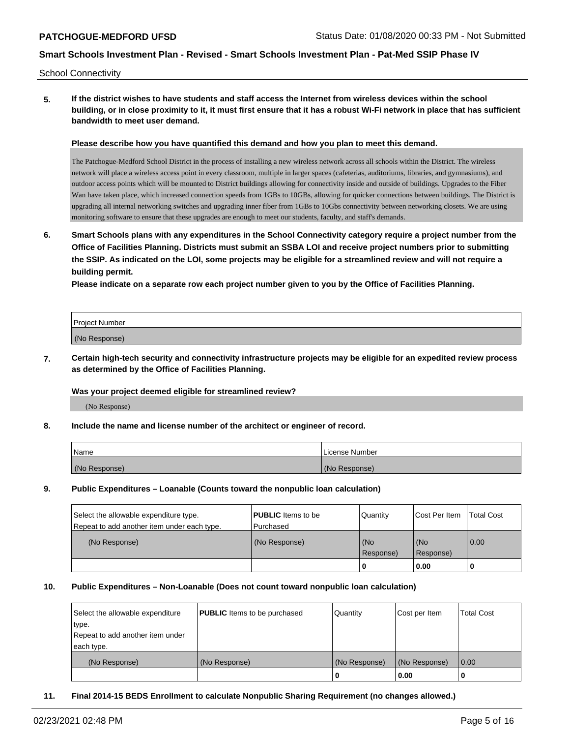School Connectivity

**5. If the district wishes to have students and staff access the Internet from wireless devices within the school building, or in close proximity to it, it must first ensure that it has a robust Wi-Fi network in place that has sufficient bandwidth to meet user demand.**

**Please describe how you have quantified this demand and how you plan to meet this demand.**

The Patchogue-Medford School District in the process of installing a new wireless network across all schools within the District. The wireless network will place a wireless access point in every classroom, multiple in larger spaces (cafeterias, auditoriums, libraries, and gymnasiums), and outdoor access points which will be mounted to District buildings allowing for connectivity inside and outside of buildings. Upgrades to the Fiber Wan have taken place, which increased connection speeds from 1GBs to 10GBs, allowing for quicker connections between buildings. The District is upgrading all internal networking switches and upgrading inner fiber from 1GBs to 10Gbs connectivity between networking closets. We are using monitoring software to ensure that these upgrades are enough to meet our students, faculty, and staff's demands.

**6. Smart Schools plans with any expenditures in the School Connectivity category require a project number from the Office of Facilities Planning. Districts must submit an SSBA LOI and receive project numbers prior to submitting the SSIP. As indicated on the LOI, some projects may be eligible for a streamlined review and will not require a building permit.**

**Please indicate on a separate row each project number given to you by the Office of Facilities Planning.**

| Proiect Number |  |
|----------------|--|
| (No Response)  |  |

**7. Certain high-tech security and connectivity infrastructure projects may be eligible for an expedited review process as determined by the Office of Facilities Planning.**

## **Was your project deemed eligible for streamlined review?**

(No Response)

## **8. Include the name and license number of the architect or engineer of record.**

| Name <sup>'</sup> | License Number |
|-------------------|----------------|
| (No Response)     | (No Response)  |

## **9. Public Expenditures – Loanable (Counts toward the nonpublic loan calculation)**

| Select the allowable expenditure type.<br>Repeat to add another item under each type. | <b>PUBLIC</b> Items to be<br>l Purchased | Quantity           | Cost Per Item    | <b>Total Cost</b> |
|---------------------------------------------------------------------------------------|------------------------------------------|--------------------|------------------|-------------------|
| (No Response)                                                                         | (No Response)                            | (No<br>l Response) | (No<br>Response) | 0.00              |
|                                                                                       |                                          | u                  | 0.00             |                   |

### **10. Public Expenditures – Non-Loanable (Does not count toward nonpublic loan calculation)**

| Select the allowable expenditure<br>type.<br>Repeat to add another item under<br>each type. | <b>PUBLIC</b> Items to be purchased | Quantity      | Cost per Item | <b>Total Cost</b> |
|---------------------------------------------------------------------------------------------|-------------------------------------|---------------|---------------|-------------------|
| (No Response)                                                                               | (No Response)                       | (No Response) | (No Response) | $\overline{0.00}$ |
|                                                                                             |                                     | 0             | 0.00          |                   |

### **11. Final 2014-15 BEDS Enrollment to calculate Nonpublic Sharing Requirement (no changes allowed.)**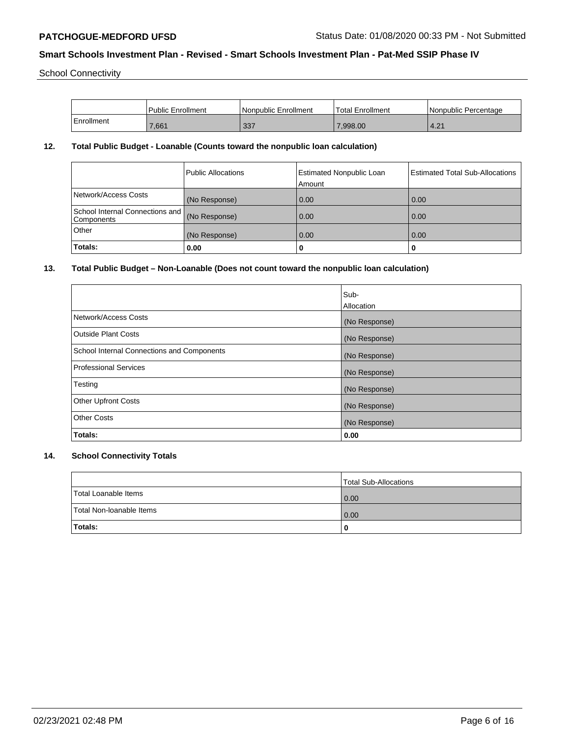School Connectivity

|            | l Public Enrollment | Nonpublic Enrollment | <b>Total Enrollment</b> | I Nonpublic Percentage |
|------------|---------------------|----------------------|-------------------------|------------------------|
| Enrollment | 7.661               | 337                  | 7.998.00                | 4.21                   |

## **12. Total Public Budget - Loanable (Counts toward the nonpublic loan calculation)**

|                                                             | Public Allocations | <b>Estimated Nonpublic Loan</b><br>Amount | Estimated Total Sub-Allocations |
|-------------------------------------------------------------|--------------------|-------------------------------------------|---------------------------------|
| Network/Access Costs                                        | (No Response)      | 0.00                                      | 0.00                            |
| School Internal Connections and (No Response)<br>Components |                    | 0.00                                      | 0.00                            |
| Other                                                       | (No Response)      | 0.00                                      | 0.00                            |
| Totals:                                                     | 0.00               | 0                                         |                                 |

## **13. Total Public Budget – Non-Loanable (Does not count toward the nonpublic loan calculation)**

|                                            | Sub-          |
|--------------------------------------------|---------------|
|                                            | Allocation    |
| Network/Access Costs                       | (No Response) |
| <b>Outside Plant Costs</b>                 | (No Response) |
| School Internal Connections and Components | (No Response) |
| <b>Professional Services</b>               | (No Response) |
| Testing                                    | (No Response) |
| <b>Other Upfront Costs</b>                 | (No Response) |
| <b>Other Costs</b>                         | (No Response) |
| Totals:                                    | 0.00          |

# **14. School Connectivity Totals**

|                          | Total Sub-Allocations |
|--------------------------|-----------------------|
| Total Loanable Items     | 0.00                  |
| Total Non-Ioanable Items | 0.00                  |
| Totals:                  | 0                     |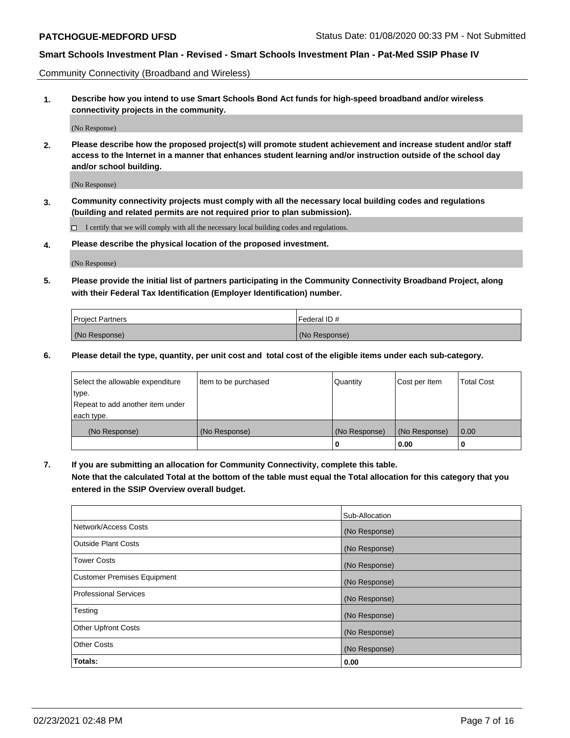Community Connectivity (Broadband and Wireless)

**1. Describe how you intend to use Smart Schools Bond Act funds for high-speed broadband and/or wireless connectivity projects in the community.**

(No Response)

**2. Please describe how the proposed project(s) will promote student achievement and increase student and/or staff access to the Internet in a manner that enhances student learning and/or instruction outside of the school day and/or school building.**

(No Response)

**3. Community connectivity projects must comply with all the necessary local building codes and regulations (building and related permits are not required prior to plan submission).**

 $\Box$  I certify that we will comply with all the necessary local building codes and regulations.

**4. Please describe the physical location of the proposed investment.**

(No Response)

**5. Please provide the initial list of partners participating in the Community Connectivity Broadband Project, along with their Federal Tax Identification (Employer Identification) number.**

| <b>Project Partners</b> | l Federal ID # |
|-------------------------|----------------|
| (No Response)           | (No Response)  |

**6. Please detail the type, quantity, per unit cost and total cost of the eligible items under each sub-category.**

| Select the allowable expenditure | Item to be purchased | Quantity      | Cost per Item | <b>Total Cost</b> |
|----------------------------------|----------------------|---------------|---------------|-------------------|
| type.                            |                      |               |               |                   |
| Repeat to add another item under |                      |               |               |                   |
| each type.                       |                      |               |               |                   |
| (No Response)                    | (No Response)        | (No Response) | (No Response) | 0.00              |
|                                  |                      | U             | 0.00          | -0                |

**7. If you are submitting an allocation for Community Connectivity, complete this table.**

**Note that the calculated Total at the bottom of the table must equal the Total allocation for this category that you entered in the SSIP Overview overall budget.**

|                                    | Sub-Allocation |
|------------------------------------|----------------|
| Network/Access Costs               | (No Response)  |
| Outside Plant Costs                | (No Response)  |
| <b>Tower Costs</b>                 | (No Response)  |
| <b>Customer Premises Equipment</b> | (No Response)  |
| <b>Professional Services</b>       | (No Response)  |
| Testing                            | (No Response)  |
| <b>Other Upfront Costs</b>         | (No Response)  |
| <b>Other Costs</b>                 | (No Response)  |
| Totals:                            | 0.00           |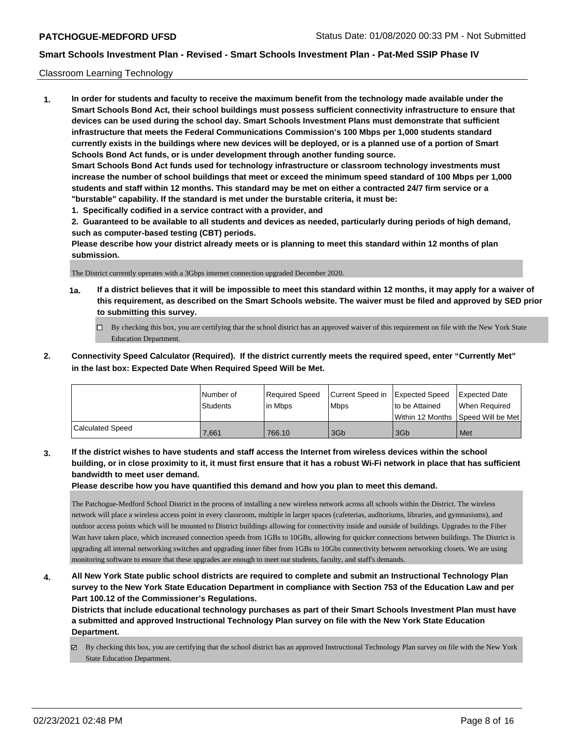## Classroom Learning Technology

**1. In order for students and faculty to receive the maximum benefit from the technology made available under the Smart Schools Bond Act, their school buildings must possess sufficient connectivity infrastructure to ensure that devices can be used during the school day. Smart Schools Investment Plans must demonstrate that sufficient infrastructure that meets the Federal Communications Commission's 100 Mbps per 1,000 students standard currently exists in the buildings where new devices will be deployed, or is a planned use of a portion of Smart Schools Bond Act funds, or is under development through another funding source. Smart Schools Bond Act funds used for technology infrastructure or classroom technology investments must increase the number of school buildings that meet or exceed the minimum speed standard of 100 Mbps per 1,000 students and staff within 12 months. This standard may be met on either a contracted 24/7 firm service or a "burstable" capability. If the standard is met under the burstable criteria, it must be:**

**1. Specifically codified in a service contract with a provider, and**

**2. Guaranteed to be available to all students and devices as needed, particularly during periods of high demand, such as computer-based testing (CBT) periods.**

**Please describe how your district already meets or is planning to meet this standard within 12 months of plan submission.**

The District currently operates with a 3Gbps internet connection upgraded December 2020.

- **1a. If a district believes that it will be impossible to meet this standard within 12 months, it may apply for a waiver of this requirement, as described on the Smart Schools website. The waiver must be filed and approved by SED prior to submitting this survey.**
	- By checking this box, you are certifying that the school district has an approved waiver of this requirement on file with the New York State Education Department.
- **2. Connectivity Speed Calculator (Required). If the district currently meets the required speed, enter "Currently Met" in the last box: Expected Date When Required Speed Will be Met.**

|                  | l Number of<br><b>Students</b> | Required Speed<br>lin Mbps | Current Speed in Expected Speed<br><b>Mbps</b> | to be Attained | <b>Expected Date</b><br>When Required   |
|------------------|--------------------------------|----------------------------|------------------------------------------------|----------------|-----------------------------------------|
|                  |                                |                            |                                                |                | l Within 12 Months ISpeed Will be Met l |
| Calculated Speed | 7.661                          | 766.10                     | 3Gb                                            | 3Gb            | Met                                     |

**3. If the district wishes to have students and staff access the Internet from wireless devices within the school building, or in close proximity to it, it must first ensure that it has a robust Wi-Fi network in place that has sufficient bandwidth to meet user demand.**

**Please describe how you have quantified this demand and how you plan to meet this demand.**

The Patchogue-Medford School District in the process of installing a new wireless network across all schools within the District. The wireless network will place a wireless access point in every classroom, multiple in larger spaces (cafeterias, auditoriums, libraries, and gymnasiums), and outdoor access points which will be mounted to District buildings allowing for connectivity inside and outside of buildings. Upgrades to the Fiber Wan have taken place, which increased connection speeds from 1GBs to 10GBs, allowing for quicker connections between buildings. The District is upgrading all internal networking switches and upgrading inner fiber from 1GBs to 10Gbs connectivity between networking closets. We are using monitoring software to ensure that these upgrades are enough to meet our students, faculty, and staff's demands.

**4. All New York State public school districts are required to complete and submit an Instructional Technology Plan survey to the New York State Education Department in compliance with Section 753 of the Education Law and per Part 100.12 of the Commissioner's Regulations.**

**Districts that include educational technology purchases as part of their Smart Schools Investment Plan must have a submitted and approved Instructional Technology Plan survey on file with the New York State Education Department.**

 $\boxtimes$  By checking this box, you are certifying that the school district has an approved Instructional Technology Plan survey on file with the New York State Education Department.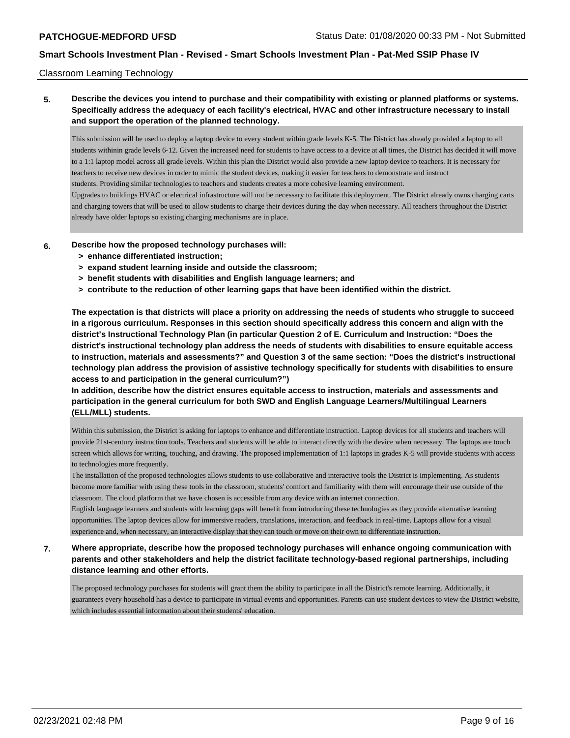## Classroom Learning Technology

## **5. Describe the devices you intend to purchase and their compatibility with existing or planned platforms or systems. Specifically address the adequacy of each facility's electrical, HVAC and other infrastructure necessary to install and support the operation of the planned technology.**

This submission will be used to deploy a laptop device to every student within grade levels K-5. The District has already provided a laptop to all students withinin grade levels 6-12. Given the increased need for students to have access to a device at all times, the District has decided it will move to a 1:1 laptop model across all grade levels. Within this plan the District would also provide a new laptop device to teachers. It is necessary for teachers to receive new devices in order to mimic the student devices, making it easier for teachers to demonstrate and instruct students. Providing similar technologies to teachers and students creates a more cohesive learning environment. Upgrades to buildings HVAC or electrical infrastructure will not be necessary to facilitate this deployment. The District already owns charging carts

and charging towers that will be used to allow students to charge their devices during the day when necessary. All teachers throughout the District already have older laptops so existing charging mechanisms are in place.

**6. Describe how the proposed technology purchases will:**

- **> enhance differentiated instruction;**
- **> expand student learning inside and outside the classroom;**
- **> benefit students with disabilities and English language learners; and**
- **> contribute to the reduction of other learning gaps that have been identified within the district.**

**The expectation is that districts will place a priority on addressing the needs of students who struggle to succeed in a rigorous curriculum. Responses in this section should specifically address this concern and align with the district's Instructional Technology Plan (in particular Question 2 of E. Curriculum and Instruction: "Does the district's instructional technology plan address the needs of students with disabilities to ensure equitable access to instruction, materials and assessments?" and Question 3 of the same section: "Does the district's instructional technology plan address the provision of assistive technology specifically for students with disabilities to ensure access to and participation in the general curriculum?")**

**In addition, describe how the district ensures equitable access to instruction, materials and assessments and participation in the general curriculum for both SWD and English Language Learners/Multilingual Learners (ELL/MLL) students.**

Within this submission, the District is asking for laptops to enhance and differentiate instruction. Laptop devices for all students and teachers will provide 21st-century instruction tools. Teachers and students will be able to interact directly with the device when necessary. The laptops are touch screen which allows for writing, touching, and drawing. The proposed implementation of 1:1 laptops in grades K-5 will provide students with access to technologies more frequently.

The installation of the proposed technologies allows students to use collaborative and interactive tools the District is implementing. As students become more familiar with using these tools in the classroom, students' comfort and familiarity with them will encourage their use outside of the classroom. The cloud platform that we have chosen is accessible from any device with an internet connection.

English language learners and students with learning gaps will benefit from introducing these technologies as they provide alternative learning opportunities. The laptop devices allow for immersive readers, translations, interaction, and feedback in real-time. Laptops allow for a visual experience and, when necessary, an interactive display that they can touch or move on their own to differentiate instruction.

**7. Where appropriate, describe how the proposed technology purchases will enhance ongoing communication with parents and other stakeholders and help the district facilitate technology-based regional partnerships, including distance learning and other efforts.**

The proposed technology purchases for students will grant them the ability to participate in all the District's remote learning. Additionally, it guarantees every household has a device to participate in virtual events and opportunities. Parents can use student devices to view the District website, which includes essential information about their students' education.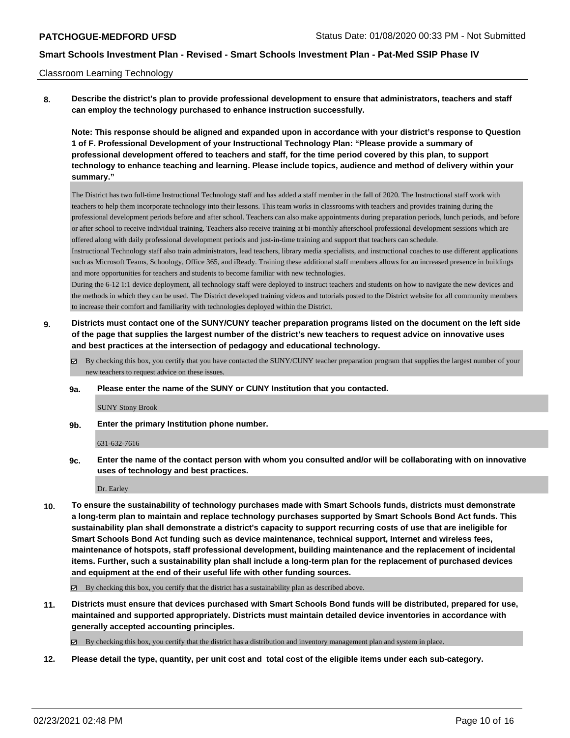### Classroom Learning Technology

**8. Describe the district's plan to provide professional development to ensure that administrators, teachers and staff can employ the technology purchased to enhance instruction successfully.**

**Note: This response should be aligned and expanded upon in accordance with your district's response to Question 1 of F. Professional Development of your Instructional Technology Plan: "Please provide a summary of professional development offered to teachers and staff, for the time period covered by this plan, to support technology to enhance teaching and learning. Please include topics, audience and method of delivery within your summary."**

The District has two full-time Instructional Technology staff and has added a staff member in the fall of 2020. The Instructional staff work with teachers to help them incorporate technology into their lessons. This team works in classrooms with teachers and provides training during the professional development periods before and after school. Teachers can also make appointments during preparation periods, lunch periods, and before or after school to receive individual training. Teachers also receive training at bi-monthly afterschool professional development sessions which are offered along with daily professional development periods and just-in-time training and support that teachers can schedule.

Instructional Technology staff also train administrators, lead teachers, library media specialists, and instructional coaches to use different applications such as Microsoft Teams, Schoology, Office 365, and iReady. Training these additional staff members allows for an increased presence in buildings and more opportunities for teachers and students to become familiar with new technologies.

During the 6-12 1:1 device deployment, all technology staff were deployed to instruct teachers and students on how to navigate the new devices and the methods in which they can be used. The District developed training videos and tutorials posted to the District website for all community members to increase their comfort and familiarity with technologies deployed within the District.

- **9. Districts must contact one of the SUNY/CUNY teacher preparation programs listed on the document on the left side of the page that supplies the largest number of the district's new teachers to request advice on innovative uses and best practices at the intersection of pedagogy and educational technology.**
	- By checking this box, you certify that you have contacted the SUNY/CUNY teacher preparation program that supplies the largest number of your new teachers to request advice on these issues.
	- **9a. Please enter the name of the SUNY or CUNY Institution that you contacted.**

SUNY Stony Brook

**9b. Enter the primary Institution phone number.**

631-632-7616

**9c. Enter the name of the contact person with whom you consulted and/or will be collaborating with on innovative uses of technology and best practices.**

Dr. Earley

**10. To ensure the sustainability of technology purchases made with Smart Schools funds, districts must demonstrate a long-term plan to maintain and replace technology purchases supported by Smart Schools Bond Act funds. This sustainability plan shall demonstrate a district's capacity to support recurring costs of use that are ineligible for Smart Schools Bond Act funding such as device maintenance, technical support, Internet and wireless fees, maintenance of hotspots, staff professional development, building maintenance and the replacement of incidental items. Further, such a sustainability plan shall include a long-term plan for the replacement of purchased devices and equipment at the end of their useful life with other funding sources.**

 $\boxtimes$  By checking this box, you certify that the district has a sustainability plan as described above.

**11. Districts must ensure that devices purchased with Smart Schools Bond funds will be distributed, prepared for use, maintained and supported appropriately. Districts must maintain detailed device inventories in accordance with generally accepted accounting principles.**

By checking this box, you certify that the district has a distribution and inventory management plan and system in place.

**12. Please detail the type, quantity, per unit cost and total cost of the eligible items under each sub-category.**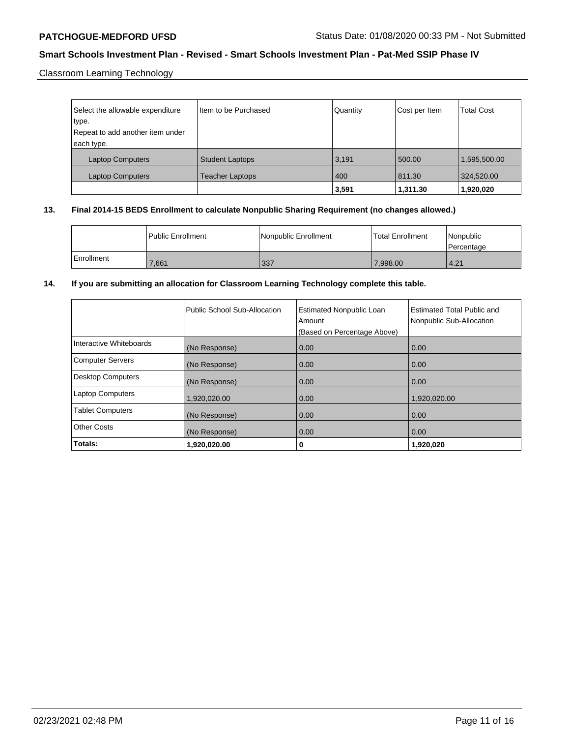Classroom Learning Technology

| Select the allowable expenditure | Item to be Purchased   | Quantity | Cost per Item | <b>Total Cost</b> |
|----------------------------------|------------------------|----------|---------------|-------------------|
| type.                            |                        |          |               |                   |
| Repeat to add another item under |                        |          |               |                   |
| each type.                       |                        |          |               |                   |
| <b>Laptop Computers</b>          | <b>Student Laptops</b> | 3,191    | 500.00        | 1,595,500.00      |
| <b>Laptop Computers</b>          | <b>Teacher Laptops</b> | 400      | 811.30        | 324,520.00        |
|                                  |                        | 3,591    | 1,311.30      | 1,920,020         |

## **13. Final 2014-15 BEDS Enrollment to calculate Nonpublic Sharing Requirement (no changes allowed.)**

|              | <b>I Public Enrollment</b> | Nonpublic Enrollment | Total Enrollment | l Nonpublic<br>Percentage |
|--------------|----------------------------|----------------------|------------------|---------------------------|
| l Enrollment | 7,661                      | 337                  | 7,998.00         | 4.21                      |

## **14. If you are submitting an allocation for Classroom Learning Technology complete this table.**

|                          | Public School Sub-Allocation | <b>Estimated Nonpublic Loan</b><br>Amount<br>(Based on Percentage Above) | Estimated Total Public and<br>Nonpublic Sub-Allocation |
|--------------------------|------------------------------|--------------------------------------------------------------------------|--------------------------------------------------------|
| Interactive Whiteboards  | (No Response)                | 0.00                                                                     | 0.00                                                   |
| <b>Computer Servers</b>  | (No Response)                | 0.00                                                                     | 0.00                                                   |
| <b>Desktop Computers</b> | (No Response)                | 0.00                                                                     | 0.00                                                   |
| <b>Laptop Computers</b>  | 1,920,020.00                 | 0.00                                                                     | 1,920,020.00                                           |
| <b>Tablet Computers</b>  | (No Response)                | 0.00                                                                     | 0.00                                                   |
| <b>Other Costs</b>       | (No Response)                | 0.00                                                                     | 0.00                                                   |
| Totals:                  | 1,920,020.00                 | 0                                                                        | 1,920,020                                              |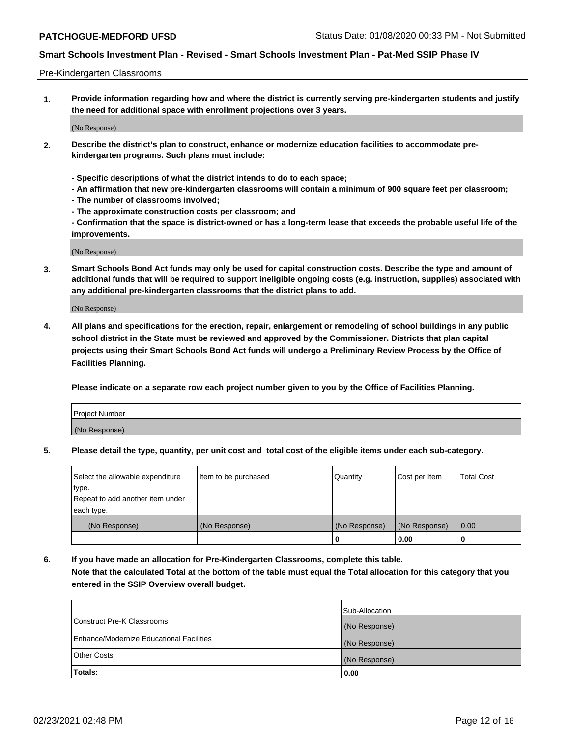### Pre-Kindergarten Classrooms

**1. Provide information regarding how and where the district is currently serving pre-kindergarten students and justify the need for additional space with enrollment projections over 3 years.**

(No Response)

- **2. Describe the district's plan to construct, enhance or modernize education facilities to accommodate prekindergarten programs. Such plans must include:**
	- **Specific descriptions of what the district intends to do to each space;**
	- **An affirmation that new pre-kindergarten classrooms will contain a minimum of 900 square feet per classroom;**
	- **The number of classrooms involved;**
	- **The approximate construction costs per classroom; and**
	- **Confirmation that the space is district-owned or has a long-term lease that exceeds the probable useful life of the improvements.**

(No Response)

**3. Smart Schools Bond Act funds may only be used for capital construction costs. Describe the type and amount of additional funds that will be required to support ineligible ongoing costs (e.g. instruction, supplies) associated with any additional pre-kindergarten classrooms that the district plans to add.**

(No Response)

**4. All plans and specifications for the erection, repair, enlargement or remodeling of school buildings in any public school district in the State must be reviewed and approved by the Commissioner. Districts that plan capital projects using their Smart Schools Bond Act funds will undergo a Preliminary Review Process by the Office of Facilities Planning.**

**Please indicate on a separate row each project number given to you by the Office of Facilities Planning.**

| Project Number |  |
|----------------|--|
| (No Response)  |  |
|                |  |

**5. Please detail the type, quantity, per unit cost and total cost of the eligible items under each sub-category.**

| Select the allowable expenditure | Item to be purchased | Quantity      | Cost per Item | <b>Total Cost</b> |
|----------------------------------|----------------------|---------------|---------------|-------------------|
| type.                            |                      |               |               |                   |
| Repeat to add another item under |                      |               |               |                   |
| each type.                       |                      |               |               |                   |
| (No Response)                    | (No Response)        | (No Response) | (No Response) | 0.00              |
|                                  |                      | o             | 0.00          | u                 |

**6. If you have made an allocation for Pre-Kindergarten Classrooms, complete this table. Note that the calculated Total at the bottom of the table must equal the Total allocation for this category that you entered in the SSIP Overview overall budget.**

| <b>Totals:</b>                           | 0.00           |
|------------------------------------------|----------------|
| <b>Other Costs</b>                       | (No Response)  |
| Enhance/Modernize Educational Facilities | (No Response)  |
| Construct Pre-K Classrooms               | (No Response)  |
|                                          | Sub-Allocation |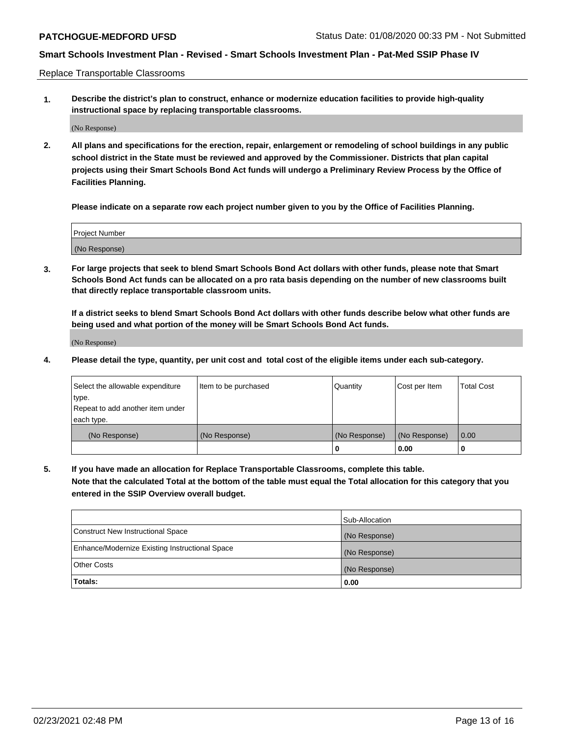Replace Transportable Classrooms

**1. Describe the district's plan to construct, enhance or modernize education facilities to provide high-quality instructional space by replacing transportable classrooms.**

(No Response)

**2. All plans and specifications for the erection, repair, enlargement or remodeling of school buildings in any public school district in the State must be reviewed and approved by the Commissioner. Districts that plan capital projects using their Smart Schools Bond Act funds will undergo a Preliminary Review Process by the Office of Facilities Planning.**

**Please indicate on a separate row each project number given to you by the Office of Facilities Planning.**

| Project Number |  |
|----------------|--|
|                |  |
| (No Response)  |  |

**3. For large projects that seek to blend Smart Schools Bond Act dollars with other funds, please note that Smart Schools Bond Act funds can be allocated on a pro rata basis depending on the number of new classrooms built that directly replace transportable classroom units.**

**If a district seeks to blend Smart Schools Bond Act dollars with other funds describe below what other funds are being used and what portion of the money will be Smart Schools Bond Act funds.**

(No Response)

**4. Please detail the type, quantity, per unit cost and total cost of the eligible items under each sub-category.**

| Select the allowable expenditure | Item to be purchased | Quantity      | Cost per Item | Total Cost |
|----------------------------------|----------------------|---------------|---------------|------------|
| ∣type.                           |                      |               |               |            |
| Repeat to add another item under |                      |               |               |            |
| each type.                       |                      |               |               |            |
| (No Response)                    | (No Response)        | (No Response) | (No Response) | 0.00       |
|                                  |                      | u             | 0.00          |            |

**5. If you have made an allocation for Replace Transportable Classrooms, complete this table. Note that the calculated Total at the bottom of the table must equal the Total allocation for this category that you entered in the SSIP Overview overall budget.**

|                                                | Sub-Allocation |
|------------------------------------------------|----------------|
| Construct New Instructional Space              | (No Response)  |
| Enhance/Modernize Existing Instructional Space | (No Response)  |
| Other Costs                                    | (No Response)  |
| Totals:                                        | 0.00           |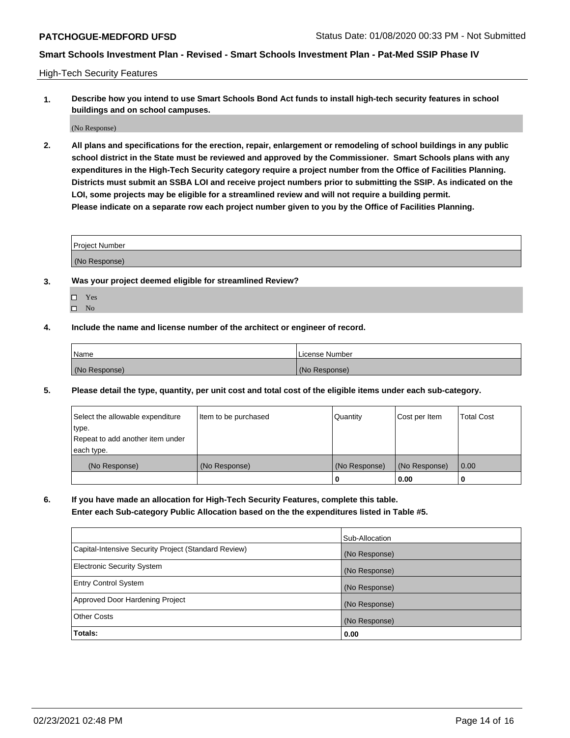High-Tech Security Features

**1. Describe how you intend to use Smart Schools Bond Act funds to install high-tech security features in school buildings and on school campuses.**

(No Response)

**2. All plans and specifications for the erection, repair, enlargement or remodeling of school buildings in any public school district in the State must be reviewed and approved by the Commissioner. Smart Schools plans with any expenditures in the High-Tech Security category require a project number from the Office of Facilities Planning. Districts must submit an SSBA LOI and receive project numbers prior to submitting the SSIP. As indicated on the LOI, some projects may be eligible for a streamlined review and will not require a building permit. Please indicate on a separate row each project number given to you by the Office of Facilities Planning.**

| <b>Project Number</b> |  |
|-----------------------|--|
| (No Response)         |  |

- **3. Was your project deemed eligible for streamlined Review?**
	- Yes
	- $\hfill \square$  No
- **4. Include the name and license number of the architect or engineer of record.**

| Name          | License Number |
|---------------|----------------|
| (No Response) | (No Response)  |

**5. Please detail the type, quantity, per unit cost and total cost of the eligible items under each sub-category.**

| Select the allowable expenditure | Item to be purchased | Quantity      | Cost per Item | <b>Total Cost</b> |
|----------------------------------|----------------------|---------------|---------------|-------------------|
| type.                            |                      |               |               |                   |
| Repeat to add another item under |                      |               |               |                   |
| each type.                       |                      |               |               |                   |
| (No Response)                    | (No Response)        | (No Response) | (No Response) | $\overline{0.00}$ |
|                                  |                      | U             | 0.00          |                   |

**6. If you have made an allocation for High-Tech Security Features, complete this table.**

**Enter each Sub-category Public Allocation based on the the expenditures listed in Table #5.**

|                                                      | Sub-Allocation |
|------------------------------------------------------|----------------|
| Capital-Intensive Security Project (Standard Review) | (No Response)  |
| <b>Electronic Security System</b>                    | (No Response)  |
| <b>Entry Control System</b>                          | (No Response)  |
| Approved Door Hardening Project                      | (No Response)  |
| <b>Other Costs</b>                                   | (No Response)  |
| Totals:                                              | 0.00           |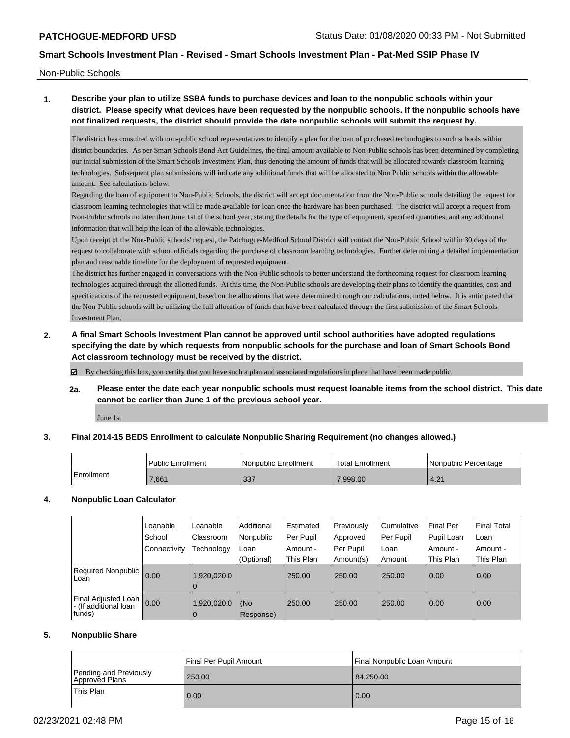Non-Public Schools

# **1. Describe your plan to utilize SSBA funds to purchase devices and loan to the nonpublic schools within your district. Please specify what devices have been requested by the nonpublic schools. If the nonpublic schools have not finalized requests, the district should provide the date nonpublic schools will submit the request by.**

The district has consulted with non-public school representatives to identify a plan for the loan of purchased technologies to such schools within district boundaries. As per Smart Schools Bond Act Guidelines, the final amount available to Non-Public schools has been determined by completing our initial submission of the Smart Schools Investment Plan, thus denoting the amount of funds that will be allocated towards classroom learning technologies. Subsequent plan submissions will indicate any additional funds that will be allocated to Non Public schools within the allowable amount. See calculations below.

Regarding the loan of equipment to Non-Public Schools, the district will accept documentation from the Non-Public schools detailing the request for classroom learning technologies that will be made available for loan once the hardware has been purchased. The district will accept a request from Non-Public schools no later than June 1st of the school year, stating the details for the type of equipment, specified quantities, and any additional information that will help the loan of the allowable technologies.

Upon receipt of the Non-Public schools' request, the Patchogue-Medford School District will contact the Non-Public School within 30 days of the request to collaborate with school officials regarding the purchase of classroom learning technologies. Further determining a detailed implementation plan and reasonable timeline for the deployment of requested equipment.

The district has further engaged in conversations with the Non-Public schools to better understand the forthcoming request for classroom learning technologies acquired through the allotted funds. At this time, the Non-Public schools are developing their plans to identify the quantities, cost and specifications of the requested equipment, based on the allocations that were determined through our calculations, noted below. It is anticipated that the Non-Public schools will be utilizing the full allocation of funds that have been calculated through the first submission of the Smart Schools Investment Plan.

**2. A final Smart Schools Investment Plan cannot be approved until school authorities have adopted regulations specifying the date by which requests from nonpublic schools for the purchase and loan of Smart Schools Bond Act classroom technology must be received by the district.**

By checking this box, you certify that you have such a plan and associated regulations in place that have been made public.

**2a. Please enter the date each year nonpublic schools must request loanable items from the school district. This date cannot be earlier than June 1 of the previous school year.**

June 1st

## **3. Final 2014-15 BEDS Enrollment to calculate Nonpublic Sharing Requirement (no changes allowed.)**

|            | <b>Public Enrollment</b> | l Nonpublic Enrollment | <sup>1</sup> Total Enrollment | Nonpublic Percentage |
|------------|--------------------------|------------------------|-------------------------------|----------------------|
| Enrollment | ,661                     | 337                    | .998.00                       | ∣ ດ 4<br>$-4.2$ .    |

## **4. Nonpublic Loan Calculator**

|                                              | Loanable     | Loanable         | Additional | Estimated | Previously | Cumulative | Final Per  | Final Total |
|----------------------------------------------|--------------|------------------|------------|-----------|------------|------------|------------|-------------|
|                                              | School       | <b>Classroom</b> | Nonpublic  | Per Pupil | Approved   | Per Pupil  | Pupil Loan | Loan        |
|                                              | Connectivity | Technology       | Loan       | Amount -  | Per Pupil  | Loan       | Amount -   | Amount -    |
|                                              |              |                  | (Optional) | This Plan | Amount(s)  | Amount     | This Plan  | This Plan   |
| Required Nonpublic<br>Loan                   | 0.00         | 1,920,020.0      |            | 250.00    | 250.00     | 250.00     | 0.00       | 0.00        |
|                                              |              | $\overline{0}$   |            |           |            |            |            |             |
| Final Adjusted Loan<br>- (If additional loan | 0.00         | 1,920,020.0      | (No        | 250.00    | 250.00     | 250.00     | 0.00       | 0.00        |
| funds)                                       |              | $\overline{0}$   | Response)  |           |            |            |            |             |

## **5. Nonpublic Share**

|                                          | l Final Per Pupil Amount | l Final Nonpublic Loan Amount |
|------------------------------------------|--------------------------|-------------------------------|
| Pending and Previously<br>Approved Plans | 250.00                   | 84,250,00                     |
| This Plan                                | 0.00                     | 0.00                          |